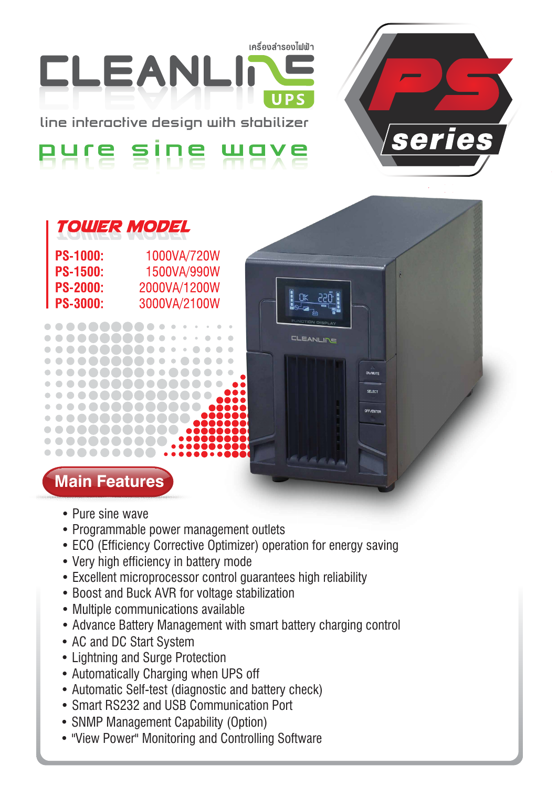เครื่องสำรองไฟฟ้า

**CLEANLINE** 

**OFF/FNTER** 

series



**line interactive design with stabilizer**

### sine Hax



1000VA/720W<br>1500VA/990W<br>2000VA/1200W **PS-1000: PS-1500: PS-2000: PS-3000:** 

# **Main Features**

 $0 0 0 0 0 0 0 0 0$ . . . **. . . . . .** .

 $\bullet\bullet\bullet\bullet\bullet\bullet\bullet\bullet\bullet\bullet$ . . . . **. . . . . .** . .

. . . . . . . . . .

. . . . . . . . . ......... . . . . . . . . . . .  $00000000$ 

........

. . . **. . . . .** .

- Pure sine wave
- Programmable power management outlets
- ECO (Efficiency Corrective Optimizer) operation for energy saving
- Very high efficiency in battery mode
- Excellent microprocessor control guarantees high reliability
- Boost and Buck AVR for voltage stabilization
- Multiple communications available
- Advance Battery Management with smart battery charging control
- AC and DC Start System
- Lightning and Surge Protection
- Automatically Charging when UPS off
- Automatic Self-test (diagnostic and battery check)
- Smart RS232 and USB Communication Port
- SNMP Management Capability (Option)
- "View Power" Monitoring and Controlling Software